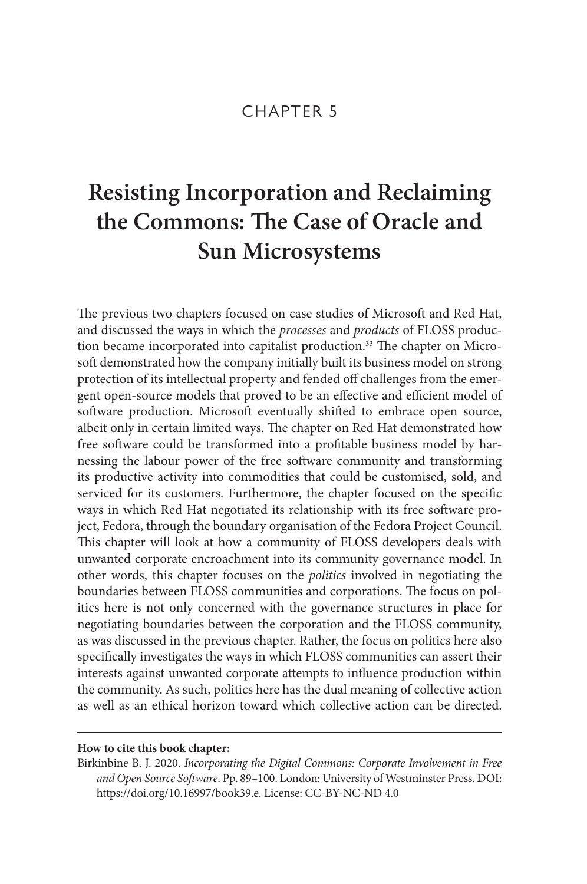# CHAPTER 5

# **Resisting Incorporation and Reclaiming the Commons: The Case of Oracle and Sun Microsystems**

The previous two chapters focused on case studies of Microsoft and Red Hat, and discussed the ways in which the *processes* and *products* of FLOSS production became incorporated into capitalist production[.33](#page-11-0) The chapter on Microsoft demonstrated how the company initially built its business model on strong protection of its intellectual property and fended off challenges from the emergent open-source models that proved to be an effective and efficient model of software production. Microsoft eventually shifted to embrace open source, albeit only in certain limited ways. The chapter on Red Hat demonstrated how free software could be transformed into a profitable business model by harnessing the labour power of the free software community and transforming its productive activity into commodities that could be customised, sold, and serviced for its customers. Furthermore, the chapter focused on the specific ways in which Red Hat negotiated its relationship with its free software project, Fedora, through the boundary organisation of the Fedora Project Council. This chapter will look at how a community of FLOSS developers deals with unwanted corporate encroachment into its community governance model. In other words, this chapter focuses on the *politics* involved in negotiating the boundaries between FLOSS communities and corporations. The focus on politics here is not only concerned with the governance structures in place for negotiating boundaries between the corporation and the FLOSS community, as was discussed in the previous chapter. Rather, the focus on politics here also specifically investigates the ways in which FLOSS communities can assert their interests against unwanted corporate attempts to influence production within the community. As such, politics here has the dual meaning of collective action as well as an ethical horizon toward which collective action can be directed.

#### **How to cite this book chapter:**

Birkinbine B. J. 2020. *Incorporating the Digital Commons: Corporate Involvement in Free and Open Source Software*. Pp. 89–100. London: University of Westminster Press. DOI: [https://doi.org/10.16997/book39.e.](https://doi.org/10.16997/book39.e) License: CC-BY-NC-ND 4.0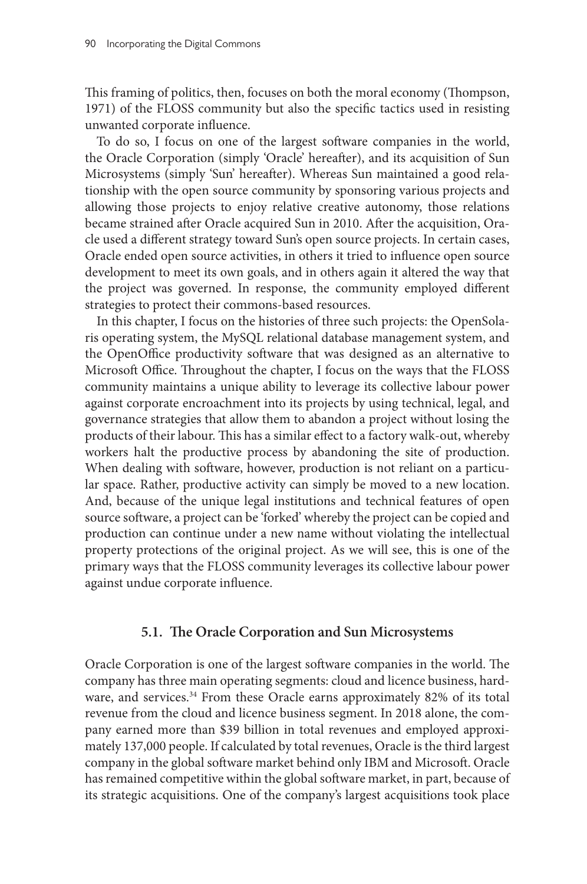This framing of politics, then, focuses on both the moral economy (Thompson, 1971) of the FLOSS community but also the specific tactics used in resisting unwanted corporate influence.

To do so, I focus on one of the largest software companies in the world, the Oracle Corporation (simply 'Oracle' hereafter), and its acquisition of Sun Microsystems (simply 'Sun' hereafter). Whereas Sun maintained a good relationship with the open source community by sponsoring various projects and allowing those projects to enjoy relative creative autonomy, those relations became strained after Oracle acquired Sun in 2010. After the acquisition, Oracle used a different strategy toward Sun's open source projects. In certain cases, Oracle ended open source activities, in others it tried to influence open source development to meet its own goals, and in others again it altered the way that the project was governed. In response, the community employed different strategies to protect their commons-based resources.

In this chapter, I focus on the histories of three such projects: the OpenSolaris operating system, the MySQL relational database management system, and the OpenOffice productivity software that was designed as an alternative to Microsoft Office. Throughout the chapter, I focus on the ways that the FLOSS community maintains a unique ability to leverage its collective labour power against corporate encroachment into its projects by using technical, legal, and governance strategies that allow them to abandon a project without losing the products of their labour. This has a similar effect to a factory walk-out, whereby workers halt the productive process by abandoning the site of production. When dealing with software, however, production is not reliant on a particular space. Rather, productive activity can simply be moved to a new location. And, because of the unique legal institutions and technical features of open source software, a project can be 'forked' whereby the project can be copied and production can continue under a new name without violating the intellectual property protections of the original project. As we will see, this is one of the primary ways that the FLOSS community leverages its collective labour power against undue corporate influence.

## **5.1. The Oracle Corporation and Sun Microsystems**

Oracle Corporation is one of the largest software companies in the world. The company has three main operating segments: cloud and licence business, hardware, and services.<sup>34</sup> From these Oracle earns approximately 82% of its total revenue from the cloud and licence business segment. In 2018 alone, the company earned more than \$39 billion in total revenues and employed approximately 137,000 people. If calculated by total revenues, Oracle is the third largest company in the global software market behind only IBM and Microsoft. Oracle has remained competitive within the global software market, in part, because of its strategic acquisitions. One of the company's largest acquisitions took place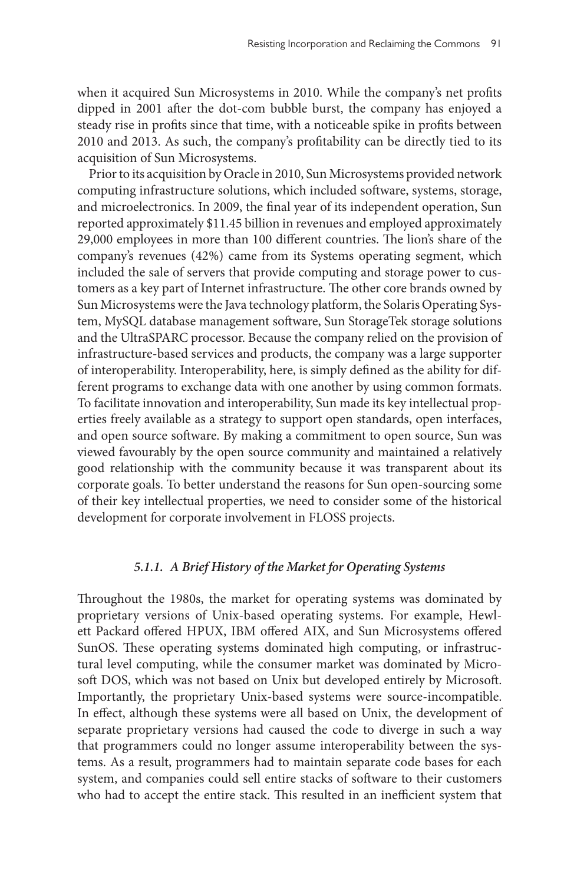when it acquired Sun Microsystems in 2010. While the company's net profits dipped in 2001 after the dot-com bubble burst, the company has enjoyed a steady rise in profits since that time, with a noticeable spike in profits between 2010 and 2013. As such, the company's profitability can be directly tied to its acquisition of Sun Microsystems.

Prior to its acquisition by Oracle in 2010, Sun Microsystems provided network computing infrastructure solutions, which included software, systems, storage, and microelectronics. In 2009, the final year of its independent operation, Sun reported approximately \$11.45 billion in revenues and employed approximately 29,000 employees in more than 100 different countries. The lion's share of the company's revenues (42%) came from its Systems operating segment, which included the sale of servers that provide computing and storage power to customers as a key part of Internet infrastructure. The other core brands owned by Sun Microsystems were the Java technology platform, the Solaris Operating System, MySQL database management software, Sun StorageTek storage solutions and the UltraSPARC processor. Because the company relied on the provision of infrastructure-based services and products, the company was a large supporter of interoperability. Interoperability, here, is simply defined as the ability for different programs to exchange data with one another by using common formats. To facilitate innovation and interoperability, Sun made its key intellectual properties freely available as a strategy to support open standards, open interfaces, and open source software. By making a commitment to open source, Sun was viewed favourably by the open source community and maintained a relatively good relationship with the community because it was transparent about its corporate goals. To better understand the reasons for Sun open-sourcing some of their key intellectual properties, we need to consider some of the historical development for corporate involvement in FLOSS projects.

# *5.1.1. A Brief History of the Market for Operating Systems*

Throughout the 1980s, the market for operating systems was dominated by proprietary versions of Unix-based operating systems. For example, Hewlett Packard offered HPUX, IBM offered AIX, and Sun Microsystems offered SunOS. These operating systems dominated high computing, or infrastructural level computing, while the consumer market was dominated by Microsoft DOS, which was not based on Unix but developed entirely by Microsoft. Importantly, the proprietary Unix-based systems were source-incompatible. In effect, although these systems were all based on Unix, the development of separate proprietary versions had caused the code to diverge in such a way that programmers could no longer assume interoperability between the systems. As a result, programmers had to maintain separate code bases for each system, and companies could sell entire stacks of software to their customers who had to accept the entire stack. This resulted in an inefficient system that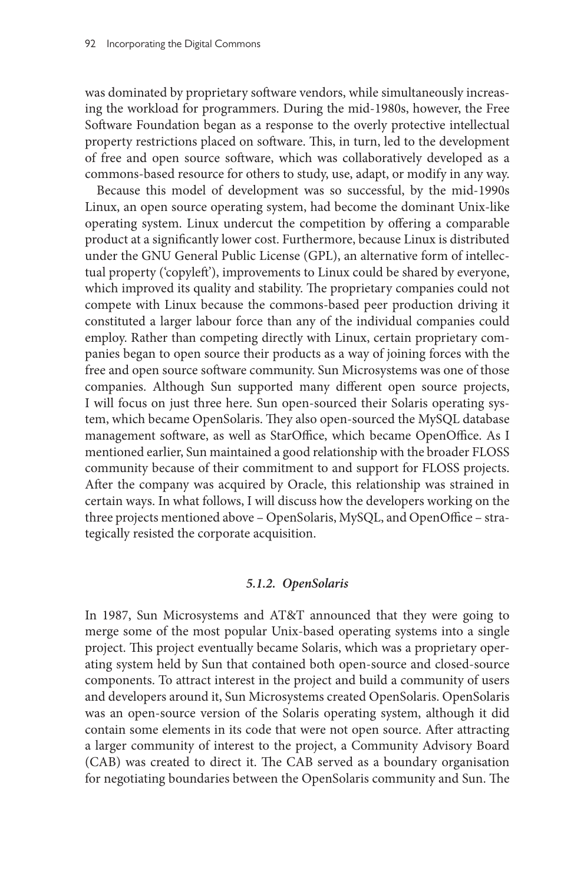was dominated by proprietary software vendors, while simultaneously increasing the workload for programmers. During the mid-1980s, however, the Free Software Foundation began as a response to the overly protective intellectual property restrictions placed on software. This, in turn, led to the development of free and open source software, which was collaboratively developed as a commons-based resource for others to study, use, adapt, or modify in any way.

Because this model of development was so successful, by the mid-1990s Linux, an open source operating system, had become the dominant Unix-like operating system. Linux undercut the competition by offering a comparable product at a significantly lower cost. Furthermore, because Linux is distributed under the GNU General Public License (GPL), an alternative form of intellectual property ('copyleft'), improvements to Linux could be shared by everyone, which improved its quality and stability. The proprietary companies could not compete with Linux because the commons-based peer production driving it constituted a larger labour force than any of the individual companies could employ. Rather than competing directly with Linux, certain proprietary companies began to open source their products as a way of joining forces with the free and open source software community. Sun Microsystems was one of those companies. Although Sun supported many different open source projects, I will focus on just three here. Sun open-sourced their Solaris operating system, which became OpenSolaris. They also open-sourced the MySQL database management software, as well as StarOffice, which became OpenOffice. As I mentioned earlier, Sun maintained a good relationship with the broader FLOSS community because of their commitment to and support for FLOSS projects. After the company was acquired by Oracle, this relationship was strained in certain ways. In what follows, I will discuss how the developers working on the three projects mentioned above – OpenSolaris, MySQL, and OpenOffice – strategically resisted the corporate acquisition.

## *5.1.2. OpenSolaris*

In 1987, Sun Microsystems and AT&T announced that they were going to merge some of the most popular Unix-based operating systems into a single project. This project eventually became Solaris, which was a proprietary operating system held by Sun that contained both open-source and closed-source components. To attract interest in the project and build a community of users and developers around it, Sun Microsystems created OpenSolaris. OpenSolaris was an open-source version of the Solaris operating system, although it did contain some elements in its code that were not open source. After attracting a larger community of interest to the project, a Community Advisory Board (CAB) was created to direct it. The CAB served as a boundary organisation for negotiating boundaries between the OpenSolaris community and Sun. The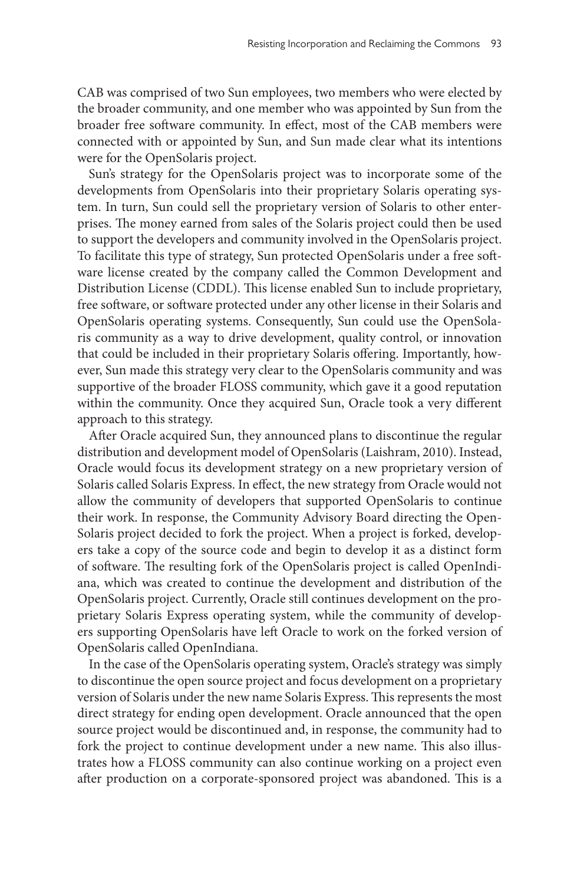CAB was comprised of two Sun employees, two members who were elected by the broader community, and one member who was appointed by Sun from the broader free software community. In effect, most of the CAB members were connected with or appointed by Sun, and Sun made clear what its intentions were for the OpenSolaris project.

Sun's strategy for the OpenSolaris project was to incorporate some of the developments from OpenSolaris into their proprietary Solaris operating system. In turn, Sun could sell the proprietary version of Solaris to other enterprises. The money earned from sales of the Solaris project could then be used to support the developers and community involved in the OpenSolaris project. To facilitate this type of strategy, Sun protected OpenSolaris under a free software license created by the company called the Common Development and Distribution License (CDDL). This license enabled Sun to include proprietary, free software, or software protected under any other license in their Solaris and OpenSolaris operating systems. Consequently, Sun could use the OpenSolaris community as a way to drive development, quality control, or innovation that could be included in their proprietary Solaris offering. Importantly, however, Sun made this strategy very clear to the OpenSolaris community and was supportive of the broader FLOSS community, which gave it a good reputation within the community. Once they acquired Sun, Oracle took a very different approach to this strategy.

After Oracle acquired Sun, they announced plans to discontinue the regular distribution and development model of OpenSolaris (Laishram, 2010). Instead, Oracle would focus its development strategy on a new proprietary version of Solaris called Solaris Express. In effect, the new strategy from Oracle would not allow the community of developers that supported OpenSolaris to continue their work. In response, the Community Advisory Board directing the Open-Solaris project decided to fork the project. When a project is forked, developers take a copy of the source code and begin to develop it as a distinct form of software. The resulting fork of the OpenSolaris project is called OpenIndiana, which was created to continue the development and distribution of the OpenSolaris project. Currently, Oracle still continues development on the proprietary Solaris Express operating system, while the community of developers supporting OpenSolaris have left Oracle to work on the forked version of OpenSolaris called OpenIndiana.

In the case of the OpenSolaris operating system, Oracle's strategy was simply to discontinue the open source project and focus development on a proprietary version of Solaris under the new name Solaris Express. This represents the most direct strategy for ending open development. Oracle announced that the open source project would be discontinued and, in response, the community had to fork the project to continue development under a new name. This also illustrates how a FLOSS community can also continue working on a project even after production on a corporate-sponsored project was abandoned. This is a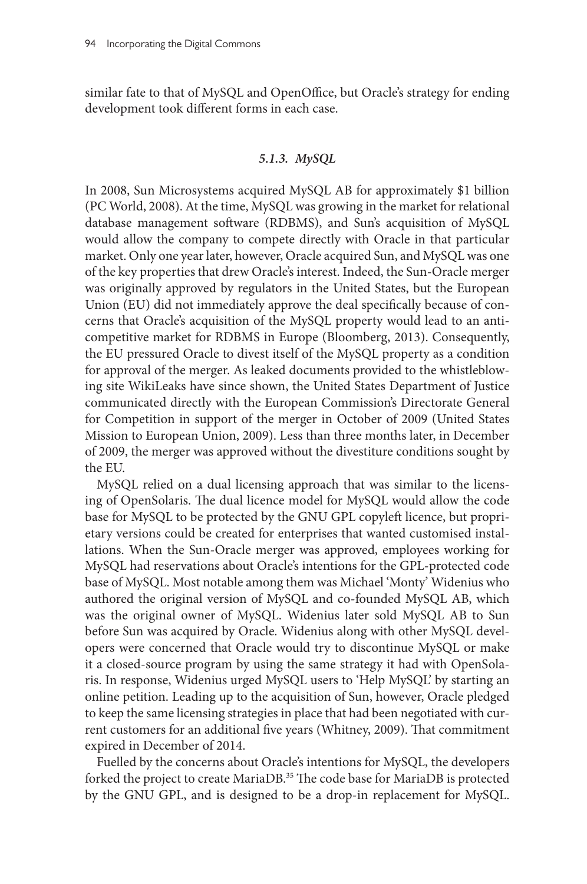similar fate to that of MySQL and OpenOffice, but Oracle's strategy for ending development took different forms in each case.

## *5.1.3. MySQL*

In 2008, Sun Microsystems acquired MySQL AB for approximately \$1 billion (PC World, 2008). At the time, MySQL was growing in the market for relational database management software (RDBMS), and Sun's acquisition of MySQL would allow the company to compete directly with Oracle in that particular market. Only one year later, however, Oracle acquired Sun, and MySQL was one of the key properties that drew Oracle's interest. Indeed, the Sun-Oracle merger was originally approved by regulators in the United States, but the European Union (EU) did not immediately approve the deal specifically because of concerns that Oracle's acquisition of the MySQL property would lead to an anticompetitive market for RDBMS in Europe (Bloomberg, 2013). Consequently, the EU pressured Oracle to divest itself of the MySQL property as a condition for approval of the merger. As leaked documents provided to the whistleblowing site WikiLeaks have since shown, the United States Department of Justice communicated directly with the European Commission's Directorate General for Competition in support of the merger in October of 2009 (United States Mission to European Union, 2009). Less than three months later, in December of 2009, the merger was approved without the divestiture conditions sought by the EU.

MySQL relied on a dual licensing approach that was similar to the licensing of OpenSolaris. The dual licence model for MySQL would allow the code base for MySQL to be protected by the GNU GPL copyleft licence, but proprietary versions could be created for enterprises that wanted customised installations. When the Sun-Oracle merger was approved, employees working for MySQL had reservations about Oracle's intentions for the GPL-protected code base of MySQL. Most notable among them was Michael 'Monty' Widenius who authored the original version of MySQL and co-founded MySQL AB, which was the original owner of MySQL. Widenius later sold MySQL AB to Sun before Sun was acquired by Oracle. Widenius along with other MySQL developers were concerned that Oracle would try to discontinue MySQL or make it a closed-source program by using the same strategy it had with OpenSolaris. In response, Widenius urged MySQL users to 'Help MySQL' by starting an online petition. Leading up to the acquisition of Sun, however, Oracle pledged to keep the same licensing strategies in place that had been negotiated with current customers for an additional five years (Whitney, 2009). That commitment expired in December of 2014.

Fuelled by the concerns about Oracle's intentions for MySQL, the developers forked the project to create MariaDB[.35](#page-11-2) The code base for MariaDB is protected by the GNU GPL, and is designed to be a drop-in replacement for MySQL.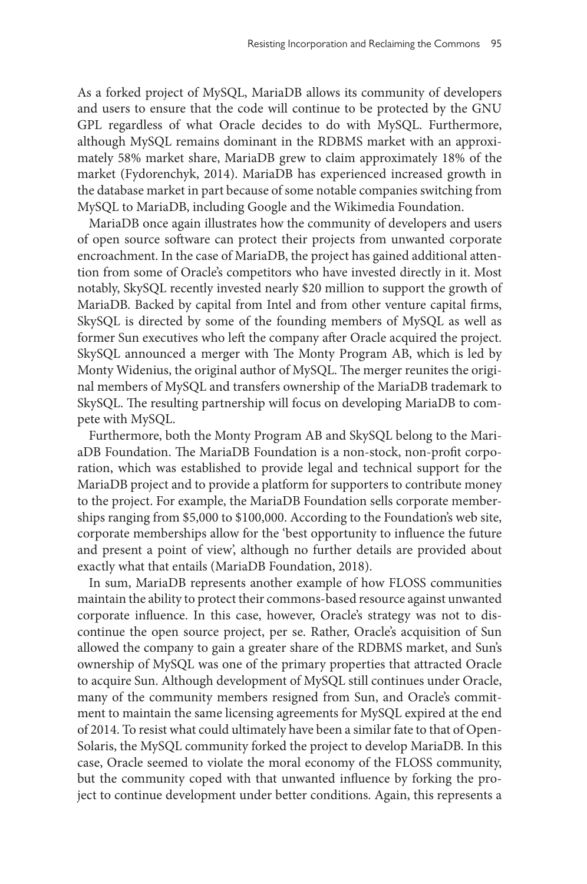As a forked project of MySQL, MariaDB allows its community of developers and users to ensure that the code will continue to be protected by the GNU GPL regardless of what Oracle decides to do with MySQL. Furthermore, although MySQL remains dominant in the RDBMS market with an approximately 58% market share, MariaDB grew to claim approximately 18% of the market (Fydorenchyk, 2014). MariaDB has experienced increased growth in the database market in part because of some notable companies switching from MySQL to MariaDB, including Google and the Wikimedia Foundation.

MariaDB once again illustrates how the community of developers and users of open source software can protect their projects from unwanted corporate encroachment. In the case of MariaDB, the project has gained additional attention from some of Oracle's competitors who have invested directly in it. Most notably, SkySQL recently invested nearly \$20 million to support the growth of MariaDB. Backed by capital from Intel and from other venture capital firms, SkySQL is directed by some of the founding members of MySQL as well as former Sun executives who left the company after Oracle acquired the project. SkySQL announced a merger with The Monty Program AB, which is led by Monty Widenius, the original author of MySQL. The merger reunites the original members of MySQL and transfers ownership of the MariaDB trademark to SkySQL. The resulting partnership will focus on developing MariaDB to compete with MySQL.

Furthermore, both the Monty Program AB and SkySQL belong to the MariaDB Foundation. The MariaDB Foundation is a non-stock, non-profit corporation, which was established to provide legal and technical support for the MariaDB project and to provide a platform for supporters to contribute money to the project. For example, the MariaDB Foundation sells corporate memberships ranging from \$5,000 to \$100,000. According to the Foundation's web site, corporate memberships allow for the 'best opportunity to influence the future and present a point of view', although no further details are provided about exactly what that entails (MariaDB Foundation, 2018).

In sum, MariaDB represents another example of how FLOSS communities maintain the ability to protect their commons-based resource against unwanted corporate influence. In this case, however, Oracle's strategy was not to discontinue the open source project, per se. Rather, Oracle's acquisition of Sun allowed the company to gain a greater share of the RDBMS market, and Sun's ownership of MySQL was one of the primary properties that attracted Oracle to acquire Sun. Although development of MySQL still continues under Oracle, many of the community members resigned from Sun, and Oracle's commitment to maintain the same licensing agreements for MySQL expired at the end of 2014. To resist what could ultimately have been a similar fate to that of Open-Solaris, the MySQL community forked the project to develop MariaDB. In this case, Oracle seemed to violate the moral economy of the FLOSS community, but the community coped with that unwanted influence by forking the project to continue development under better conditions. Again, this represents a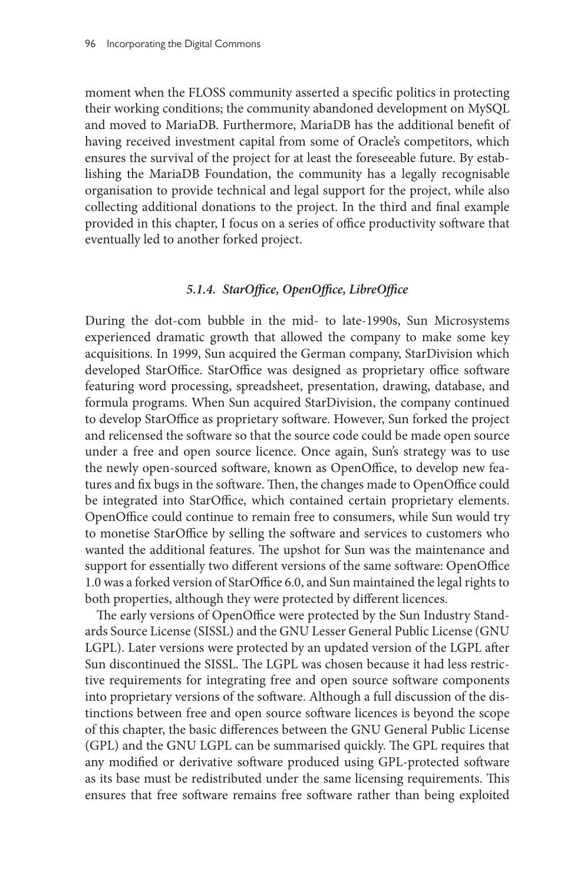moment when the FLOSS community asserted a specific politics in protecting their working conditions; the community abandoned development on MySQL and moved to MariaDB. Furthermore, MariaDB has the additional benefit of having received investment capital from some of Oracle's competitors, which ensures the survival of the project for at least the foreseeable future. By establishing the MariaDB Foundation, the community has a legally recognisable organisation to provide technical and legal support for the project, while also collecting additional donations to the project. In the third and final example provided in this chapter, I focus on a series of office productivity software that eventually led to another forked project.

## *5.1.4. StarOffice, OpenOffice, LibreOffice*

During the dot-com bubble in the mid- to late-1990s, Sun Microsystems experienced dramatic growth that allowed the company to make some key acquisitions. In 1999, Sun acquired the German company, StarDivision which developed StarOffice. StarOffice was designed as proprietary office software featuring word processing, spreadsheet, presentation, drawing, database, and formula programs. When Sun acquired StarDivision, the company continued to develop StarOffice as proprietary software. However, Sun forked the project and relicensed the software so that the source code could be made open source under a free and open source licence. Once again, Sun's strategy was to use the newly open-sourced software, known as OpenOffice, to develop new features and fix bugs in the software. Then, the changes made to OpenOffice could be integrated into StarOffice, which contained certain proprietary elements. OpenOffice could continue to remain free to consumers, while Sun would try to monetise StarOffice by selling the software and services to customers who wanted the additional features. The upshot for Sun was the maintenance and support for essentially two different versions of the same software: OpenOffice 1.0 was a forked version of StarOffice 6.0, and Sun maintained the legal rights to both properties, although they were protected by different licences.

The early versions of OpenOffice were protected by the Sun Industry Standards Source License (SISSL) and the GNU Lesser General Public License (GNU LGPL). Later versions were protected by an updated version of the LGPL after Sun discontinued the SISSL. The LGPL was chosen because it had less restrictive requirements for integrating free and open source software components into proprietary versions of the software. Although a full discussion of the distinctions between free and open source software licences is beyond the scope of this chapter, the basic differences between the GNU General Public License (GPL) and the GNU LGPL can be summarised quickly. The GPL requires that any modified or derivative software produced using GPL-protected software as its base must be redistributed under the same licensing requirements. This ensures that free software remains free software rather than being exploited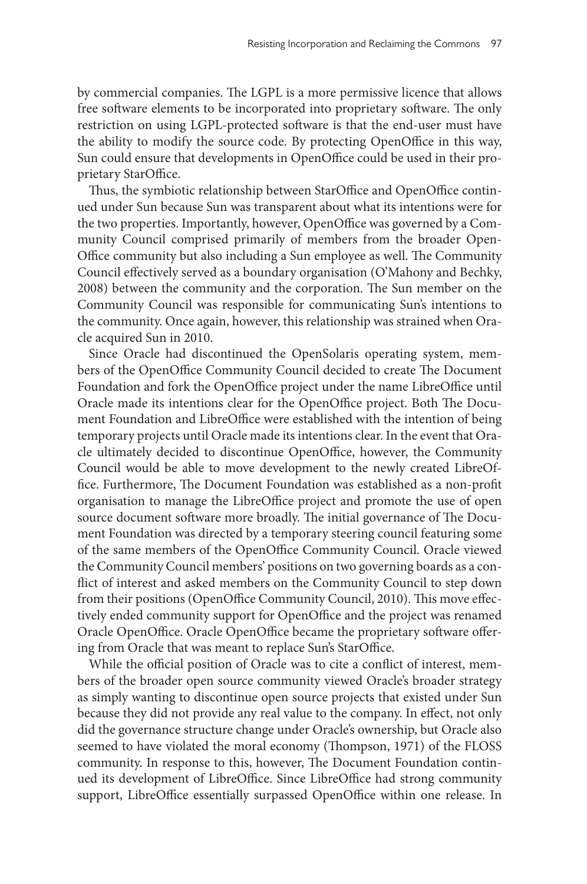by commercial companies. The LGPL is a more permissive licence that allows free software elements to be incorporated into proprietary software. The only restriction on using LGPL-protected software is that the end-user must have the ability to modify the source code. By protecting OpenOffice in this way, Sun could ensure that developments in OpenOffice could be used in their proprietary StarOffice.

Thus, the symbiotic relationship between StarOffice and OpenOffice continued under Sun because Sun was transparent about what its intentions were for the two properties. Importantly, however, OpenOffice was governed by a Community Council comprised primarily of members from the broader Open-Office community but also including a Sun employee as well. The Community Council effectively served as a boundary organisation (O'Mahony and Bechky, 2008) between the community and the corporation. The Sun member on the Community Council was responsible for communicating Sun's intentions to the community. Once again, however, this relationship was strained when Oracle acquired Sun in 2010.

Since Oracle had discontinued the OpenSolaris operating system, members of the OpenOffice Community Council decided to create The Document Foundation and fork the OpenOffice project under the name LibreOffice until Oracle made its intentions clear for the OpenOffice project. Both The Document Foundation and LibreOffice were established with the intention of being temporary projects until Oracle made its intentions clear. In the event that Oracle ultimately decided to discontinue OpenOffice, however, the Community Council would be able to move development to the newly created LibreOffice. Furthermore, The Document Foundation was established as a non-profit organisation to manage the LibreOffice project and promote the use of open source document software more broadly. The initial governance of The Document Foundation was directed by a temporary steering council featuring some of the same members of the OpenOffice Community Council. Oracle viewed the Community Council members' positions on two governing boards as a conflict of interest and asked members on the Community Council to step down from their positions (OpenOffice Community Council, 2010). This move effectively ended community support for OpenOffice and the project was renamed Oracle OpenOffice. Oracle OpenOffice became the proprietary software offering from Oracle that was meant to replace Sun's StarOffice.

While the official position of Oracle was to cite a conflict of interest, members of the broader open source community viewed Oracle's broader strategy as simply wanting to discontinue open source projects that existed under Sun because they did not provide any real value to the company. In effect, not only did the governance structure change under Oracle's ownership, but Oracle also seemed to have violated the moral economy (Thompson, 1971) of the FLOSS community. In response to this, however, The Document Foundation continued its development of LibreOffice. Since LibreOffice had strong community support, LibreOffice essentially surpassed OpenOffice within one release. In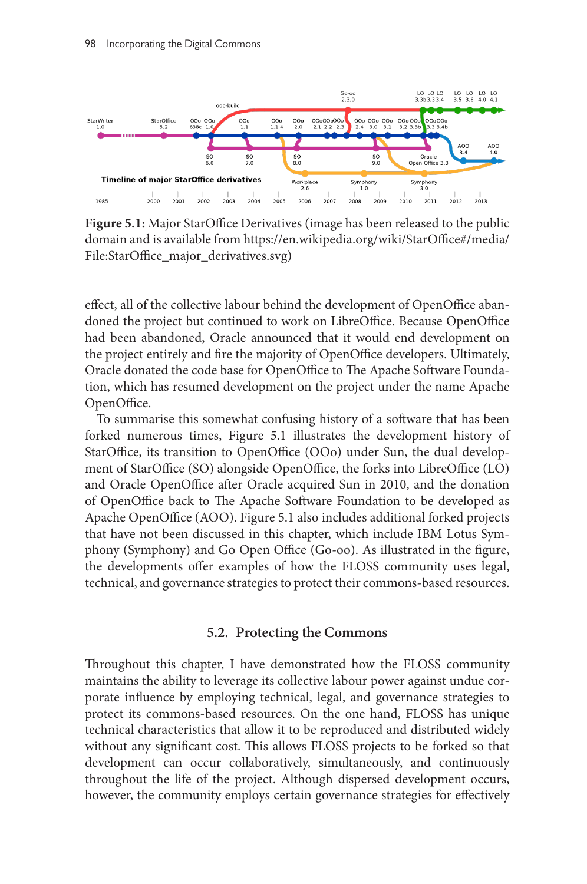

<span id="page-9-0"></span>**Figure 5.1:** Major StarOffice Derivatives (image has been released to the public domain and is available from [https://en.wikipedia.org/wiki/StarOffice#/media/](https://en.wikipedia.org/wiki/StarOffice#/media/File:StarOffice_major_derivatives.svg) [File:StarOffice\\_major\\_derivatives.svg\)](https://en.wikipedia.org/wiki/StarOffice#/media/File:StarOffice_major_derivatives.svg)

effect, all of the collective labour behind the development of OpenOffice abandoned the project but continued to work on LibreOffice. Because OpenOffice had been abandoned, Oracle announced that it would end development on the project entirely and fire the majority of OpenOffice developers. Ultimately, Oracle donated the code base for OpenOffice to The Apache Software Foundation, which has resumed development on the project under the name Apache OpenOffice.

To summarise this somewhat confusing history of a software that has been forked numerous times, [Figure 5.1](#page-9-0) illustrates the development history of StarOffice, its transition to OpenOffice (OOo) under Sun, the dual development of StarOffice (SO) alongside OpenOffice, the forks into LibreOffice (LO) and Oracle OpenOffice after Oracle acquired Sun in 2010, and the donation of OpenOffice back to The Apache Software Foundation to be developed as Apache OpenOffice (AOO). [Figure 5.1](#page-9-0) also includes additional forked projects that have not been discussed in this chapter, which include IBM Lotus Symphony (Symphony) and Go Open Office (Go-oo). As illustrated in the figure, the developments offer examples of how the FLOSS community uses legal, technical, and governance strategies to protect their commons-based resources.

#### **5.2. Protecting the Commons**

Throughout this chapter, I have demonstrated how the FLOSS community maintains the ability to leverage its collective labour power against undue corporate influence by employing technical, legal, and governance strategies to protect its commons-based resources. On the one hand, FLOSS has unique technical characteristics that allow it to be reproduced and distributed widely without any significant cost. This allows FLOSS projects to be forked so that development can occur collaboratively, simultaneously, and continuously throughout the life of the project. Although dispersed development occurs, however, the community employs certain governance strategies for effectively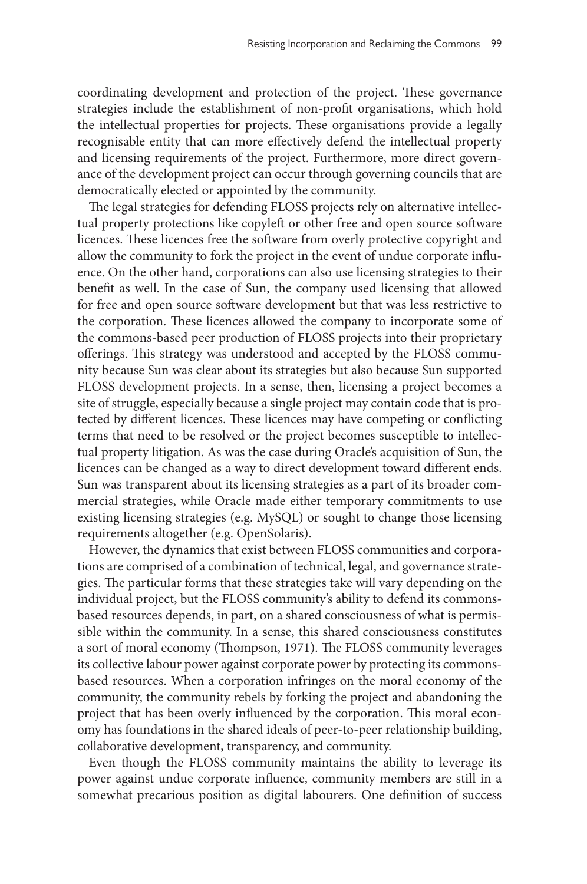coordinating development and protection of the project. These governance strategies include the establishment of non-profit organisations, which hold the intellectual properties for projects. These organisations provide a legally recognisable entity that can more effectively defend the intellectual property and licensing requirements of the project. Furthermore, more direct governance of the development project can occur through governing councils that are democratically elected or appointed by the community.

The legal strategies for defending FLOSS projects rely on alternative intellectual property protections like copyleft or other free and open source software licences. These licences free the software from overly protective copyright and allow the community to fork the project in the event of undue corporate influence. On the other hand, corporations can also use licensing strategies to their benefit as well. In the case of Sun, the company used licensing that allowed for free and open source software development but that was less restrictive to the corporation. These licences allowed the company to incorporate some of the commons-based peer production of FLOSS projects into their proprietary offerings. This strategy was understood and accepted by the FLOSS community because Sun was clear about its strategies but also because Sun supported FLOSS development projects. In a sense, then, licensing a project becomes a site of struggle, especially because a single project may contain code that is protected by different licences. These licences may have competing or conflicting terms that need to be resolved or the project becomes susceptible to intellectual property litigation. As was the case during Oracle's acquisition of Sun, the licences can be changed as a way to direct development toward different ends. Sun was transparent about its licensing strategies as a part of its broader commercial strategies, while Oracle made either temporary commitments to use existing licensing strategies (e.g. MySQL) or sought to change those licensing requirements altogether (e.g. OpenSolaris).

However, the dynamics that exist between FLOSS communities and corporations are comprised of a combination of technical, legal, and governance strategies. The particular forms that these strategies take will vary depending on the individual project, but the FLOSS community's ability to defend its commonsbased resources depends, in part, on a shared consciousness of what is permissible within the community. In a sense, this shared consciousness constitutes a sort of moral economy (Thompson, 1971). The FLOSS community leverages its collective labour power against corporate power by protecting its commonsbased resources. When a corporation infringes on the moral economy of the community, the community rebels by forking the project and abandoning the project that has been overly influenced by the corporation. This moral economy has foundations in the shared ideals of peer-to-peer relationship building, collaborative development, transparency, and community.

Even though the FLOSS community maintains the ability to leverage its power against undue corporate influence, community members are still in a somewhat precarious position as digital labourers. One definition of success